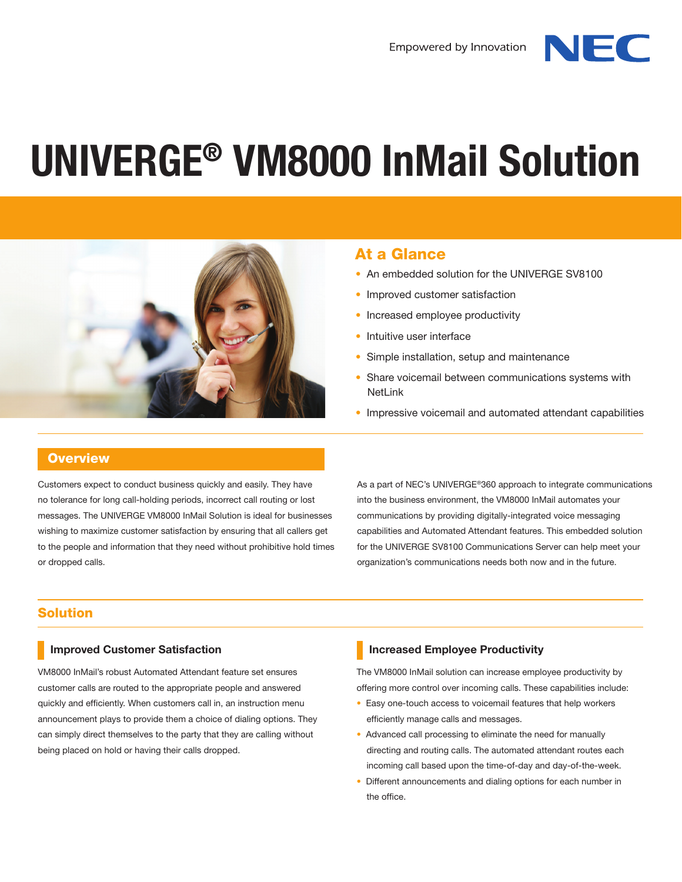NIFC





# At a Glance

- An embedded solution for the UNIVERGE SV8100
- Improved customer satisfaction
- Increased employee productivity
- Intuitive user interface
- Simple installation, setup and maintenance
- Share voicemail between communications systems with **NetLink**
- Impressive voicemail and automated attendant capabilities

## **Overview**

Customers expect to conduct business quickly and easily. They have no tolerance for long call-holding periods, incorrect call routing or lost messages. The UNIVERGE VM8000 InMail Solution is ideal for businesses wishing to maximize customer satisfaction by ensuring that all callers get to the people and information that they need without prohibitive hold times or dropped calls.

As a part of NEC's UNIVERGE®360 approach to integrate communications into the business environment, the VM8000 InMail automates your communications by providing digitally-integrated voice messaging capabilities and Automated Attendant features. This embedded solution for the UNIVERGE SV8100 Communications Server can help meet your organization's communications needs both now and in the future.

## Solution

#### **Improved Customer Satisfaction**

VM8000 InMail's robust Automated Attendant feature set ensures customer calls are routed to the appropriate people and answered quickly and efficiently. When customers call in, an instruction menu announcement plays to provide them a choice of dialing options. They can simply direct themselves to the party that they are calling without being placed on hold or having their calls dropped.

## **Increased Employee Productivity**

The VM8000 InMail solution can increase employee productivity by offering more control over incoming calls. These capabilities include:

- Easy one-touch access to voicemail features that help workers efficiently manage calls and messages.
- Advanced call processing to eliminate the need for manually directing and routing calls. The automated attendant routes each incoming call based upon the time-of-day and day-of-the-week.
- Different announcements and dialing options for each number in the office.